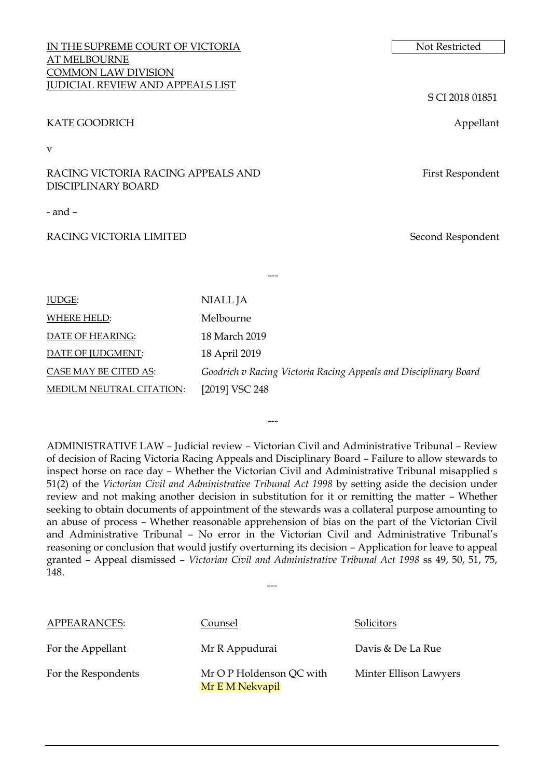IN THE SUPREME COURT OF VICTORIA Not Restricted AT MELBOURNE COMMON LAW DIVISION JUDICIAL REVIEW AND APPEALS LIST

#### KATE GOODRICH Appellant

v

RACING VICTORIA RACING APPEALS AND DISCIPLINARY BOARD

- and –

#### RACING VICTORIA LIMITED Second Respondent

S CI 2018 01851

First Respondent

| NIALL JA                                                         |
|------------------------------------------------------------------|
| Melbourne                                                        |
| 18 March 2019                                                    |
| 18 April 2019                                                    |
| Goodrich v Racing Victoria Racing Appeals and Disciplinary Board |
| [2019] VSC 248                                                   |
|                                                                  |

---

ADMINISTRATIVE LAW – Judicial review – Victorian Civil and Administrative Tribunal – Review of decision of Racing Victoria Racing Appeals and Disciplinary Board – Failure to allow stewards to inspect horse on race day – Whether the Victorian Civil and Administrative Tribunal misapplied s 51(2) of the *Victorian Civil and Administrative Tribunal Act 1998* by setting aside the decision under review and not making another decision in substitution for it or remitting the matter – Whether seeking to obtain documents of appointment of the stewards was a collateral purpose amounting to an abuse of process – Whether reasonable apprehension of bias on the part of the Victorian Civil and Administrative Tribunal – No error in the Victorian Civil and Administrative Tribunal's reasoning or conclusion that would justify overturning its decision – Application for leave to appeal granted – Appeal dismissed – *Victorian Civil and Administrative Tribunal Act 1998* ss 49, 50, 51, 75, 148.

---

---

APPEARANCES: Counsel Solicitors For the Appellant **Mr R** Appudurai Davis & De La Rue For the Respondents Mr O P Holdenson QC with Mr E M Nekvapil Minter Ellison Lawyers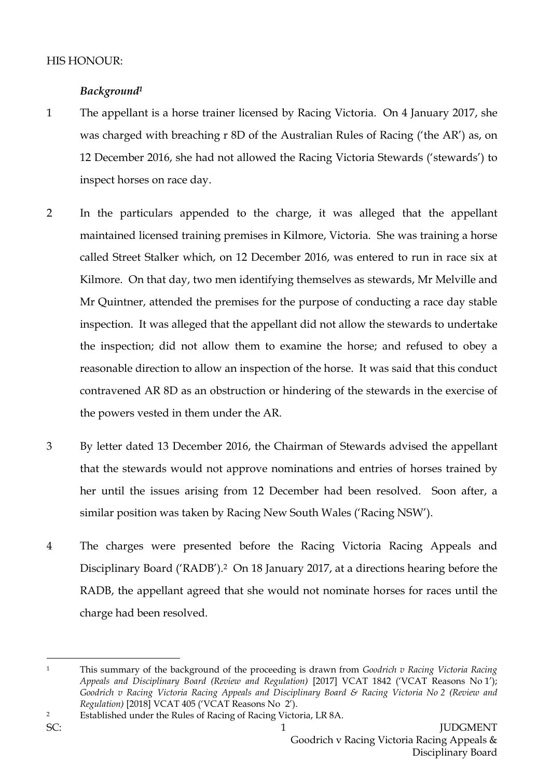# *Background<sup>1</sup>*

- 1 The appellant is a horse trainer licensed by Racing Victoria. On 4 January 2017, she was charged with breaching r 8D of the Australian Rules of Racing ('the AR') as, on 12 December 2016, she had not allowed the Racing Victoria Stewards ('stewards') to inspect horses on race day.
- 2 In the particulars appended to the charge, it was alleged that the appellant maintained licensed training premises in Kilmore, Victoria. She was training a horse called Street Stalker which, on 12 December 2016, was entered to run in race six at Kilmore. On that day, two men identifying themselves as stewards, Mr Melville and Mr Quintner, attended the premises for the purpose of conducting a race day stable inspection. It was alleged that the appellant did not allow the stewards to undertake the inspection; did not allow them to examine the horse; and refused to obey a reasonable direction to allow an inspection of the horse. It was said that this conduct contravened AR 8D as an obstruction or hindering of the stewards in the exercise of the powers vested in them under the AR.
- 3 By letter dated 13 December 2016, the Chairman of Stewards advised the appellant that the stewards would not approve nominations and entries of horses trained by her until the issues arising from 12 December had been resolved. Soon after, a similar position was taken by Racing New South Wales ('Racing NSW').
- 4 The charges were presented before the Racing Victoria Racing Appeals and Disciplinary Board ('RADB').2 On 18 January 2017, at a directions hearing before the RADB, the appellant agreed that she would not nominate horses for races until the charge had been resolved.

<sup>1</sup> This summary of the background of the proceeding is drawn from *Goodrich v Racing Victoria Racing Appeals and Disciplinary Board (Review and Regulation)* [2017] VCAT 1842 ('VCAT Reasons No 1'); *Goodrich v Racing Victoria Racing Appeals and Disciplinary Board & Racing Victoria No 2 (Review and Regulation)* [2018] VCAT 405 ('VCAT Reasons No 2').

<sup>2</sup> Established under the Rules of Racing of Racing Victoria, LR 8A.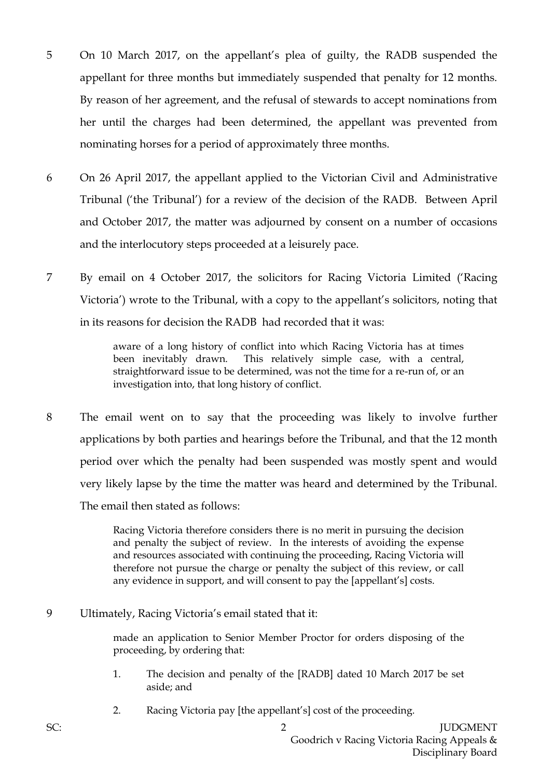- 5 On 10 March 2017, on the appellant's plea of guilty, the RADB suspended the appellant for three months but immediately suspended that penalty for 12 months. By reason of her agreement, and the refusal of stewards to accept nominations from her until the charges had been determined, the appellant was prevented from nominating horses for a period of approximately three months.
- 6 On 26 April 2017, the appellant applied to the Victorian Civil and Administrative Tribunal ('the Tribunal') for a review of the decision of the RADB. Between April and October 2017, the matter was adjourned by consent on a number of occasions and the interlocutory steps proceeded at a leisurely pace.
- 7 By email on 4 October 2017, the solicitors for Racing Victoria Limited ('Racing Victoria') wrote to the Tribunal, with a copy to the appellant's solicitors, noting that in its reasons for decision the RADB had recorded that it was:

aware of a long history of conflict into which Racing Victoria has at times been inevitably drawn. This relatively simple case, with a central, straightforward issue to be determined, was not the time for a re-run of, or an investigation into, that long history of conflict.

8 The email went on to say that the proceeding was likely to involve further applications by both parties and hearings before the Tribunal, and that the 12 month period over which the penalty had been suspended was mostly spent and would very likely lapse by the time the matter was heard and determined by the Tribunal. The email then stated as follows:

> Racing Victoria therefore considers there is no merit in pursuing the decision and penalty the subject of review. In the interests of avoiding the expense and resources associated with continuing the proceeding, Racing Victoria will therefore not pursue the charge or penalty the subject of this review, or call any evidence in support, and will consent to pay the [appellant's] costs.

9 Ultimately, Racing Victoria's email stated that it:

made an application to Senior Member Proctor for orders disposing of the proceeding, by ordering that:

- 1. The decision and penalty of the [RADB] dated 10 March 2017 be set aside; and
- 2. Racing Victoria pay [the appellant's] cost of the proceeding.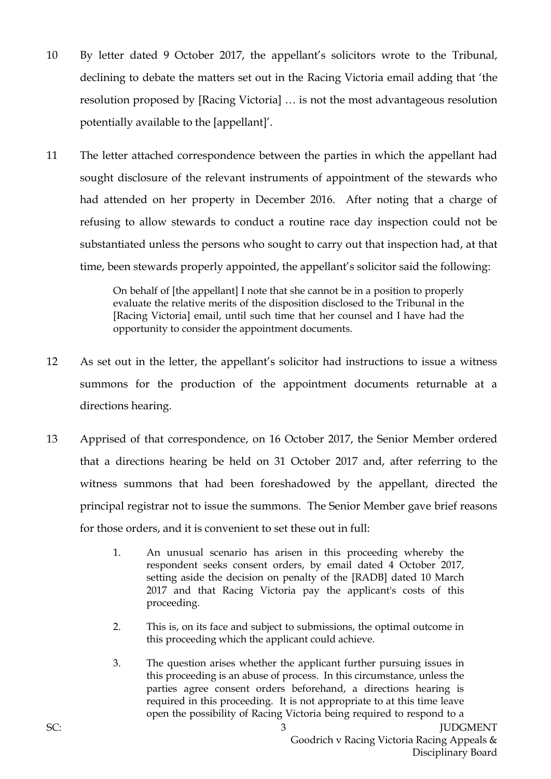- 10 By letter dated 9 October 2017, the appellant's solicitors wrote to the Tribunal, declining to debate the matters set out in the Racing Victoria email adding that 'the resolution proposed by [Racing Victoria] … is not the most advantageous resolution potentially available to the [appellant]'.
- 11 The letter attached correspondence between the parties in which the appellant had sought disclosure of the relevant instruments of appointment of the stewards who had attended on her property in December 2016. After noting that a charge of refusing to allow stewards to conduct a routine race day inspection could not be substantiated unless the persons who sought to carry out that inspection had, at that time, been stewards properly appointed, the appellant's solicitor said the following:

On behalf of [the appellant] I note that she cannot be in a position to properly evaluate the relative merits of the disposition disclosed to the Tribunal in the [Racing Victoria] email, until such time that her counsel and I have had the opportunity to consider the appointment documents.

- 12 As set out in the letter, the appellant's solicitor had instructions to issue a witness summons for the production of the appointment documents returnable at a directions hearing.
- 13 Apprised of that correspondence, on 16 October 2017, the Senior Member ordered that a directions hearing be held on 31 October 2017 and, after referring to the witness summons that had been foreshadowed by the appellant, directed the principal registrar not to issue the summons. The Senior Member gave brief reasons for those orders, and it is convenient to set these out in full:
	- 1. An unusual scenario has arisen in this proceeding whereby the respondent seeks consent orders, by email dated 4 October 2017, setting aside the decision on penalty of the [RADB] dated 10 March 2017 and that Racing Victoria pay the applicant's costs of this proceeding.
	- 2. This is, on its face and subject to submissions, the optimal outcome in this proceeding which the applicant could achieve.
	- 3. The question arises whether the applicant further pursuing issues in this proceeding is an abuse of process. In this circumstance, unless the parties agree consent orders beforehand, a directions hearing is required in this proceeding. It is not appropriate to at this time leave open the possibility of Racing Victoria being required to respond to a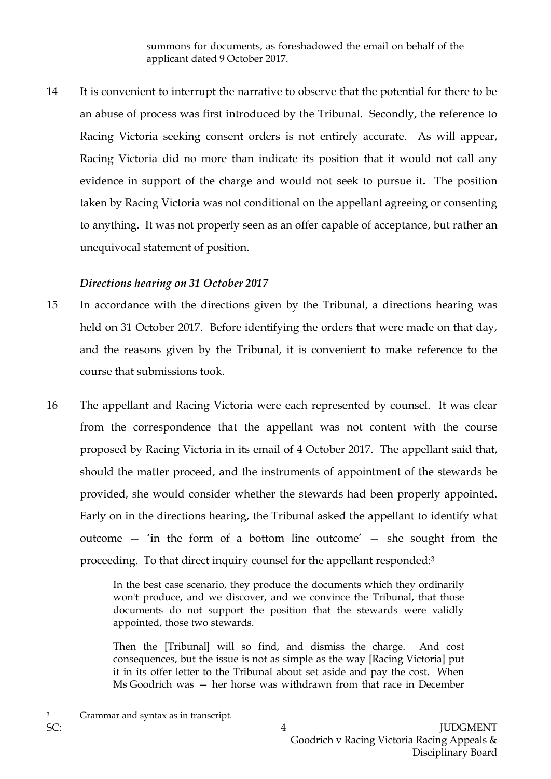summons for documents, as foreshadowed the email on behalf of the applicant dated 9 October 2017.

14 It is convenient to interrupt the narrative to observe that the potential for there to be an abuse of process was first introduced by the Tribunal. Secondly, the reference to Racing Victoria seeking consent orders is not entirely accurate. As will appear, Racing Victoria did no more than indicate its position that it would not call any evidence in support of the charge and would not seek to pursue it**.** The position taken by Racing Victoria was not conditional on the appellant agreeing or consenting to anything. It was not properly seen as an offer capable of acceptance, but rather an unequivocal statement of position.

## *Directions hearing on 31 October 2017*

- 15 In accordance with the directions given by the Tribunal, a directions hearing was held on 31 October 2017. Before identifying the orders that were made on that day, and the reasons given by the Tribunal, it is convenient to make reference to the course that submissions took.
- 16 The appellant and Racing Victoria were each represented by counsel. It was clear from the correspondence that the appellant was not content with the course proposed by Racing Victoria in its email of 4 October 2017. The appellant said that, should the matter proceed, and the instruments of appointment of the stewards be provided, she would consider whether the stewards had been properly appointed. Early on in the directions hearing, the Tribunal asked the appellant to identify what outcome — 'in the form of a bottom line outcome' — she sought from the proceeding. To that direct inquiry counsel for the appellant responded:<sup>3</sup>

In the best case scenario, they produce the documents which they ordinarily won't produce, and we discover, and we convince the Tribunal, that those documents do not support the position that the stewards were validly appointed, those two stewards.

Then the [Tribunal] will so find, and dismiss the charge. And cost consequences, but the issue is not as simple as the way [Racing Victoria] put it in its offer letter to the Tribunal about set aside and pay the cost. When Ms Goodrich was — her horse was withdrawn from that race in December

<sup>3</sup> Grammar and syntax as in transcript.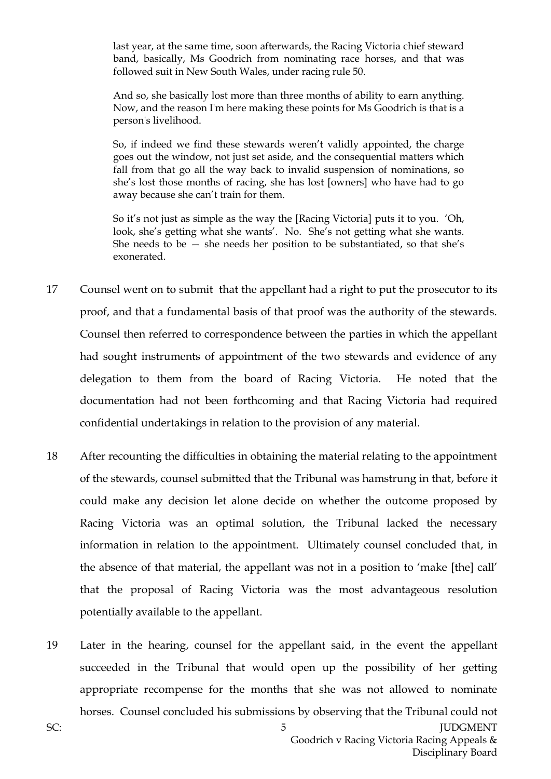last year, at the same time, soon afterwards, the Racing Victoria chief steward band, basically, Ms Goodrich from nominating race horses, and that was followed suit in New South Wales, under racing rule 50.

And so, she basically lost more than three months of ability to earn anything. Now, and the reason I'm here making these points for Ms Goodrich is that is a person's livelihood.

So, if indeed we find these stewards weren't validly appointed, the charge goes out the window, not just set aside, and the consequential matters which fall from that go all the way back to invalid suspension of nominations, so she's lost those months of racing, she has lost [owners] who have had to go away because she can't train for them.

So it's not just as simple as the way the [Racing Victoria] puts it to you. 'Oh, look, she's getting what she wants'. No. She's not getting what she wants. She needs to be  $-$  she needs her position to be substantiated, so that she's exonerated.

- 17 Counsel went on to submit that the appellant had a right to put the prosecutor to its proof, and that a fundamental basis of that proof was the authority of the stewards. Counsel then referred to correspondence between the parties in which the appellant had sought instruments of appointment of the two stewards and evidence of any delegation to them from the board of Racing Victoria. He noted that the documentation had not been forthcoming and that Racing Victoria had required confidential undertakings in relation to the provision of any material.
- 18 After recounting the difficulties in obtaining the material relating to the appointment of the stewards, counsel submitted that the Tribunal was hamstrung in that, before it could make any decision let alone decide on whether the outcome proposed by Racing Victoria was an optimal solution, the Tribunal lacked the necessary information in relation to the appointment. Ultimately counsel concluded that, in the absence of that material, the appellant was not in a position to 'make [the] call' that the proposal of Racing Victoria was the most advantageous resolution potentially available to the appellant.
- 19 Later in the hearing, counsel for the appellant said, in the event the appellant succeeded in the Tribunal that would open up the possibility of her getting appropriate recompense for the months that she was not allowed to nominate horses. Counsel concluded his submissions by observing that the Tribunal could not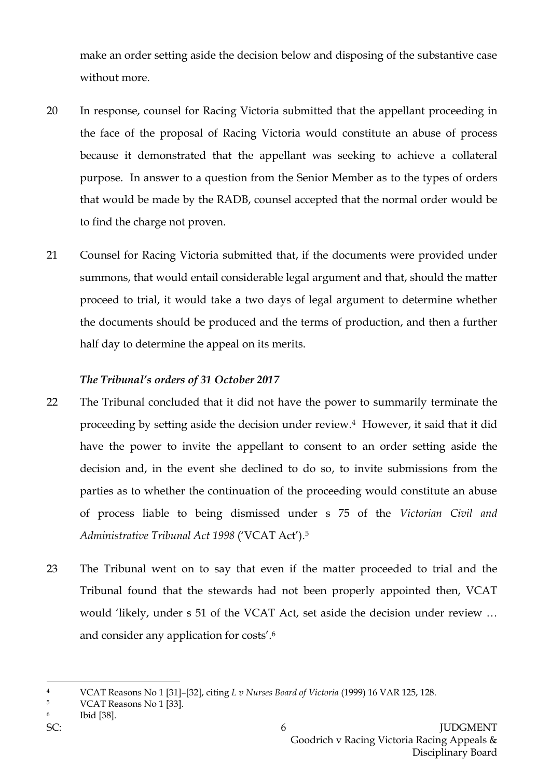make an order setting aside the decision below and disposing of the substantive case without more.

- 20 In response, counsel for Racing Victoria submitted that the appellant proceeding in the face of the proposal of Racing Victoria would constitute an abuse of process because it demonstrated that the appellant was seeking to achieve a collateral purpose. In answer to a question from the Senior Member as to the types of orders that would be made by the RADB, counsel accepted that the normal order would be to find the charge not proven.
- 21 Counsel for Racing Victoria submitted that, if the documents were provided under summons, that would entail considerable legal argument and that, should the matter proceed to trial, it would take a two days of legal argument to determine whether the documents should be produced and the terms of production, and then a further half day to determine the appeal on its merits.

### *The Tribunal's orders of 31 October 2017*

- 22 The Tribunal concluded that it did not have the power to summarily terminate the proceeding by setting aside the decision under review.4 However, it said that it did have the power to invite the appellant to consent to an order setting aside the decision and, in the event she declined to do so, to invite submissions from the parties as to whether the continuation of the proceeding would constitute an abuse of process liable to being dismissed under s 75 of the *Victorian Civil and Administrative Tribunal Act 1998* ('VCAT Act'). 5
- 23 The Tribunal went on to say that even if the matter proceeded to trial and the Tribunal found that the stewards had not been properly appointed then, VCAT would 'likely, under s 51 of the VCAT Act, set aside the decision under review … and consider any application for costs'.<sup>6</sup>

<sup>4</sup> VCAT Reasons No 1 [31]–[32], citing *L v Nurses Board of Victoria* (1999) 16 VAR 125, 128.

<sup>5</sup> VCAT Reasons No 1 [33].

<sup>6</sup> Ibid [38].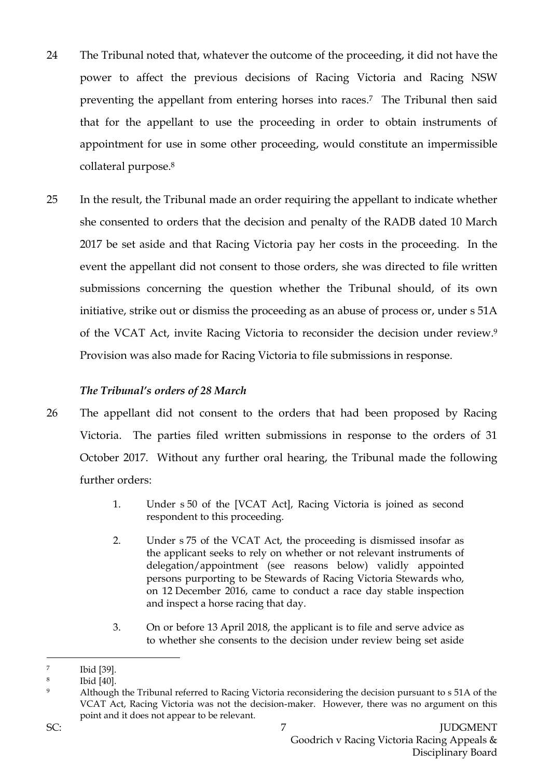- 24 The Tribunal noted that, whatever the outcome of the proceeding, it did not have the power to affect the previous decisions of Racing Victoria and Racing NSW preventing the appellant from entering horses into races. <sup>7</sup> The Tribunal then said that for the appellant to use the proceeding in order to obtain instruments of appointment for use in some other proceeding, would constitute an impermissible collateral purpose.<sup>8</sup>
- 25 In the result, the Tribunal made an order requiring the appellant to indicate whether she consented to orders that the decision and penalty of the RADB dated 10 March 2017 be set aside and that Racing Victoria pay her costs in the proceeding. In the event the appellant did not consent to those orders, she was directed to file written submissions concerning the question whether the Tribunal should, of its own initiative, strike out or dismiss the proceeding as an abuse of process or, under s 51A of the VCAT Act, invite Racing Victoria to reconsider the decision under review.<sup>9</sup> Provision was also made for Racing Victoria to file submissions in response.

## *The Tribunal's orders of 28 March*

- 26 The appellant did not consent to the orders that had been proposed by Racing Victoria. The parties filed written submissions in response to the orders of 31 October 2017. Without any further oral hearing, the Tribunal made the following further orders:
	- 1. Under s 50 of the [VCAT Act], Racing Victoria is joined as second respondent to this proceeding.
	- 2. Under s 75 of the VCAT Act, the proceeding is dismissed insofar as the applicant seeks to rely on whether or not relevant instruments of delegation/appointment (see reasons below) validly appointed persons purporting to be Stewards of Racing Victoria Stewards who, on 12 December 2016, came to conduct a race day stable inspection and inspect a horse racing that day.
	- 3. On or before 13 April 2018, the applicant is to file and serve advice as to whether she consents to the decision under review being set aside

 $\overline{a}$ 7 Ibid [39].

<sup>8</sup> Ibid [40].

<sup>9</sup> Although the Tribunal referred to Racing Victoria reconsidering the decision pursuant to s 51A of the VCAT Act, Racing Victoria was not the decision-maker. However, there was no argument on this point and it does not appear to be relevant.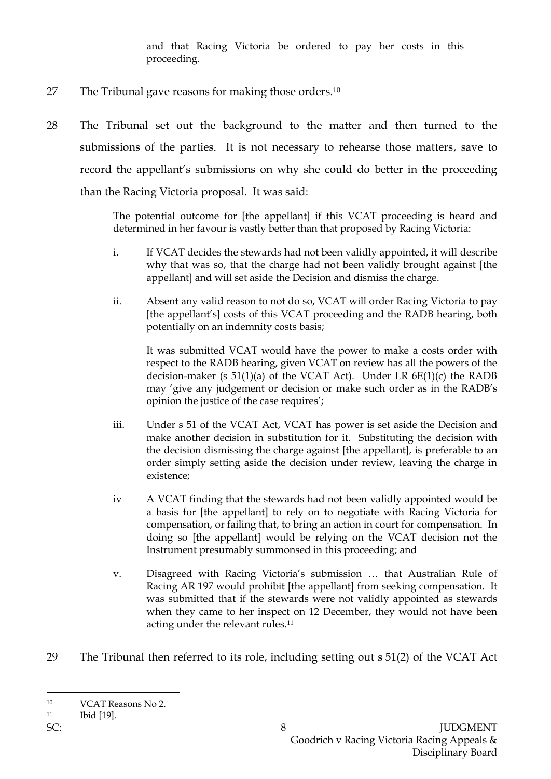and that Racing Victoria be ordered to pay her costs in this proceeding.

- 27 The Tribunal gave reasons for making those orders.<sup>10</sup>
- 28 The Tribunal set out the background to the matter and then turned to the submissions of the parties. It is not necessary to rehearse those matters, save to record the appellant's submissions on why she could do better in the proceeding than the Racing Victoria proposal. It was said:

The potential outcome for [the appellant] if this VCAT proceeding is heard and determined in her favour is vastly better than that proposed by Racing Victoria:

- i. If VCAT decides the stewards had not been validly appointed, it will describe why that was so, that the charge had not been validly brought against [the appellant] and will set aside the Decision and dismiss the charge.
- ii. Absent any valid reason to not do so, VCAT will order Racing Victoria to pay [the appellant's] costs of this VCAT proceeding and the RADB hearing, both potentially on an indemnity costs basis;

It was submitted VCAT would have the power to make a costs order with respect to the RADB hearing, given VCAT on review has all the powers of the decision-maker (s  $51(1)(a)$  of the VCAT Act). Under LR  $6E(1)(c)$  the RADB may 'give any judgement or decision or make such order as in the RADB's opinion the justice of the case requires';

- iii. Under s 51 of the VCAT Act, VCAT has power is set aside the Decision and make another decision in substitution for it. Substituting the decision with the decision dismissing the charge against [the appellant], is preferable to an order simply setting aside the decision under review, leaving the charge in existence;
- iv A VCAT finding that the stewards had not been validly appointed would be a basis for [the appellant] to rely on to negotiate with Racing Victoria for compensation, or failing that, to bring an action in court for compensation. In doing so [the appellant] would be relying on the VCAT decision not the Instrument presumably summonsed in this proceeding; and
- v. Disagreed with Racing Victoria's submission … that Australian Rule of Racing AR 197 would prohibit [the appellant] from seeking compensation. It was submitted that if the stewards were not validly appointed as stewards when they came to her inspect on 12 December, they would not have been acting under the relevant rules.<sup>11</sup>
- 29 The Tribunal then referred to its role, including setting out s 51(2) of the VCAT Act

<sup>10</sup> VCAT Reasons No 2.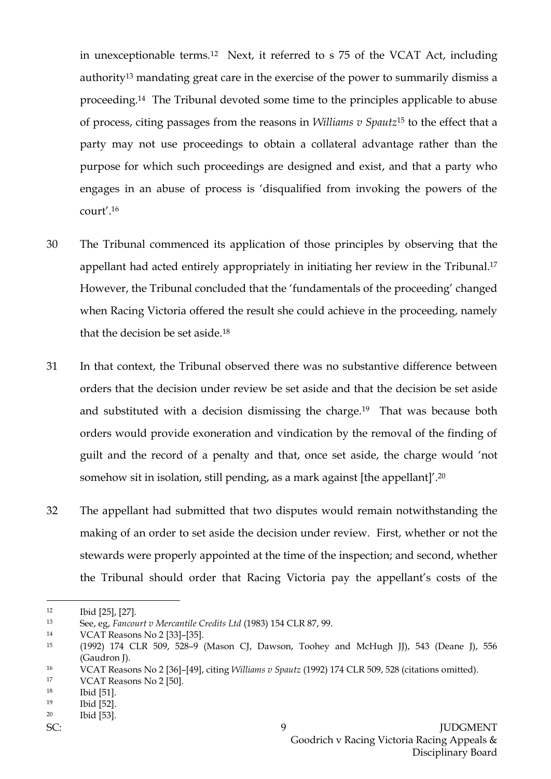in unexceptionable terms.12 Next, it referred to s 75 of the VCAT Act, including authority<sup>13</sup> mandating great care in the exercise of the power to summarily dismiss a proceeding.14 The Tribunal devoted some time to the principles applicable to abuse of process, citing passages from the reasons in *Williams v Spautz*<sup>15</sup> to the effect that a party may not use proceedings to obtain a collateral advantage rather than the purpose for which such proceedings are designed and exist, and that a party who engages in an abuse of process is 'disqualified from invoking the powers of the court'.<sup>16</sup>

- 30 The Tribunal commenced its application of those principles by observing that the appellant had acted entirely appropriately in initiating her review in the Tribunal.<sup>17</sup> However, the Tribunal concluded that the 'fundamentals of the proceeding' changed when Racing Victoria offered the result she could achieve in the proceeding, namely that the decision be set aside.<sup>18</sup>
- 31 In that context, the Tribunal observed there was no substantive difference between orders that the decision under review be set aside and that the decision be set aside and substituted with a decision dismissing the charge.19 That was because both orders would provide exoneration and vindication by the removal of the finding of guilt and the record of a penalty and that, once set aside, the charge would 'not somehow sit in isolation, still pending, as a mark against [the appellant]'. 20
- 32 The appellant had submitted that two disputes would remain notwithstanding the making of an order to set aside the decision under review. First, whether or not the stewards were properly appointed at the time of the inspection; and second, whether the Tribunal should order that Racing Victoria pay the appellant's costs of the

<sup>12</sup> Ibid [25], [27].

<sup>13</sup> See, eg, *Fancourt v Mercantile Credits Ltd* (1983) 154 CLR 87, 99.

<sup>14</sup> VCAT Reasons No 2 [33]–[35].

<sup>15</sup> (1992) 174 CLR 509, 528–9 (Mason CJ, Dawson, Toohey and McHugh JJ), 543 (Deane J), 556 (Gaudron J).

<sup>16</sup> VCAT Reasons No 2 [36]–[49], citing *Williams v Spautz* (1992) 174 CLR 509, 528 (citations omitted).

<sup>17</sup> VCAT Reasons No 2 [50].

<sup>18</sup> Ibid [51].

<sup>19</sup> Ibid [52].

<sup>20</sup> Ibid [53].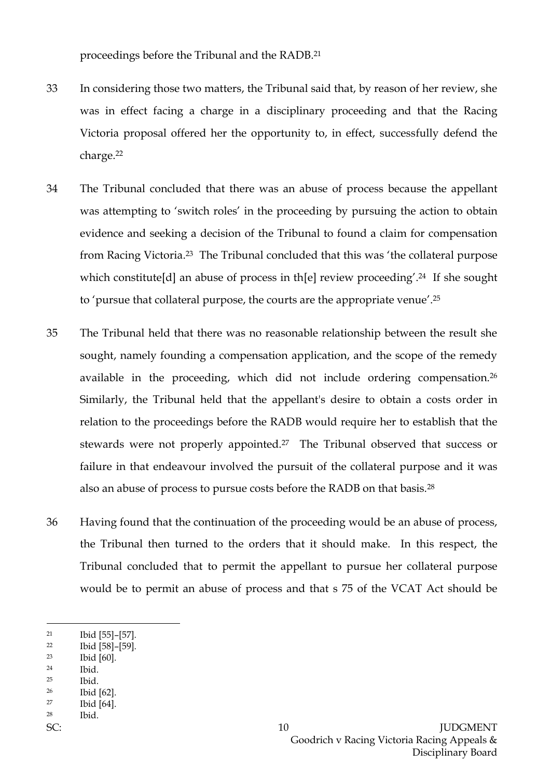proceedings before the Tribunal and the RADB.<sup>21</sup>

- 33 In considering those two matters, the Tribunal said that, by reason of her review, she was in effect facing a charge in a disciplinary proceeding and that the Racing Victoria proposal offered her the opportunity to, in effect, successfully defend the charge.<sup>22</sup>
- 34 The Tribunal concluded that there was an abuse of process because the appellant was attempting to 'switch roles' in the proceeding by pursuing the action to obtain evidence and seeking a decision of the Tribunal to found a claim for compensation from Racing Victoria.<sup>23</sup> The Tribunal concluded that this was 'the collateral purpose which constitute[d] an abuse of process in th[e] review proceeding'.<sup>24</sup> If she sought to 'pursue that collateral purpose, the courts are the appropriate venue'. 25
- 35 The Tribunal held that there was no reasonable relationship between the result she sought, namely founding a compensation application, and the scope of the remedy available in the proceeding, which did not include ordering compensation.<sup>26</sup> Similarly, the Tribunal held that the appellant's desire to obtain a costs order in relation to the proceedings before the RADB would require her to establish that the stewards were not properly appointed.27 The Tribunal observed that success or failure in that endeavour involved the pursuit of the collateral purpose and it was also an abuse of process to pursue costs before the RADB on that basis.<sup>28</sup>
- 36 Having found that the continuation of the proceeding would be an abuse of process, the Tribunal then turned to the orders that it should make. In this respect, the Tribunal concluded that to permit the appellant to pursue her collateral purpose would be to permit an abuse of process and that s 75 of the VCAT Act should be

- <sup>22</sup> Ibid [58]–[59].
- <sup>23</sup> Ibid [60].
- <sup>24</sup> Ibid.
- <sup>25</sup> Ibid.
- <sup>26</sup> Ibid [62]. <sup>27</sup> Ibid [64].
- <sup>28</sup> Ibid.
- 

<sup>21</sup> Ibid [55]–[57].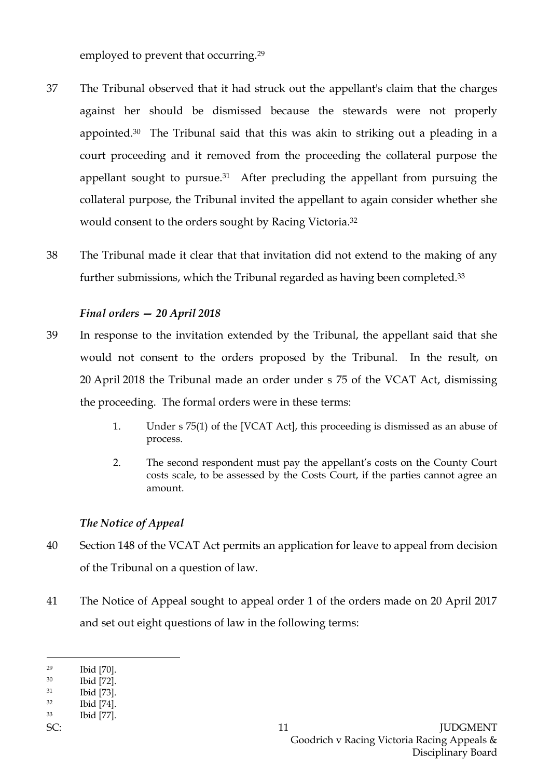employed to prevent that occurring.<sup>29</sup>

- 37 The Tribunal observed that it had struck out the appellant's claim that the charges against her should be dismissed because the stewards were not properly appointed.30 The Tribunal said that this was akin to striking out a pleading in a court proceeding and it removed from the proceeding the collateral purpose the appellant sought to pursue.31 After precluding the appellant from pursuing the collateral purpose, the Tribunal invited the appellant to again consider whether she would consent to the orders sought by Racing Victoria. 32
- 38 The Tribunal made it clear that that invitation did not extend to the making of any further submissions, which the Tribunal regarded as having been completed.<sup>33</sup>

## *Final orders — 20 April 2018*

- 39 In response to the invitation extended by the Tribunal, the appellant said that she would not consent to the orders proposed by the Tribunal. In the result, on 20 April 2018 the Tribunal made an order under s 75 of the VCAT Act, dismissing the proceeding. The formal orders were in these terms:
	- 1. Under s 75(1) of the [VCAT Act], this proceeding is dismissed as an abuse of process.
	- 2. The second respondent must pay the appellant's costs on the County Court costs scale, to be assessed by the Costs Court, if the parties cannot agree an amount.

## *The Notice of Appeal*

- 40 Section 148 of the VCAT Act permits an application for leave to appeal from decision of the Tribunal on a question of law.
- 41 The Notice of Appeal sought to appeal order 1 of the orders made on 20 April 2017 and set out eight questions of law in the following terms:

<sup>29</sup> Ibid [70].

<sup>30</sup> Ibid [72].

<sup>31</sup> Ibid [73].

<sup>32</sup> Ibid [74]. <sup>33</sup> Ibid [77].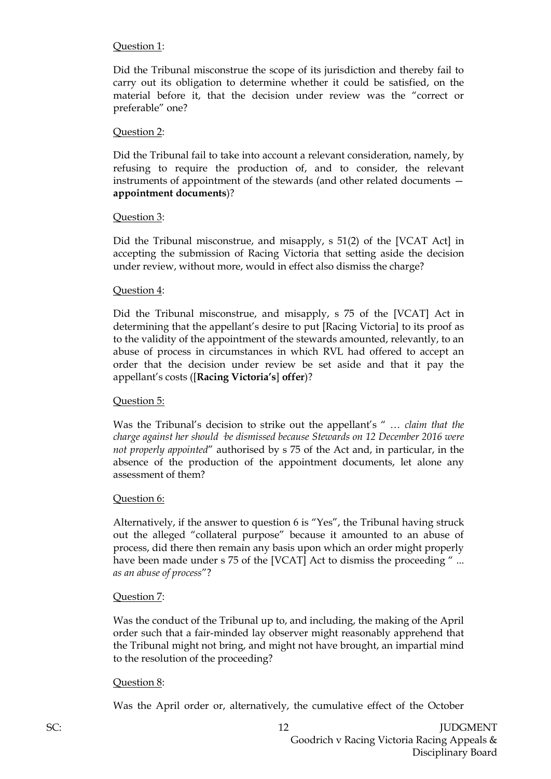### Question 1:

Did the Tribunal misconstrue the scope of its jurisdiction and thereby fail to carry out its obligation to determine whether it could be satisfied, on the material before it, that the decision under review was the "correct or preferable" one?

#### Question 2:

Did the Tribunal fail to take into account a relevant consideration, namely, by refusing to require the production of, and to consider, the relevant instruments of appointment of the stewards (and other related documents **appointment documents**)?

#### Question 3:

Did the Tribunal misconstrue, and misapply, s 51(2) of the [VCAT Act] in accepting the submission of Racing Victoria that setting aside the decision under review, without more, would in effect also dismiss the charge?

### Question 4:

Did the Tribunal misconstrue, and misapply, s 75 of the [VCAT] Act in determining that the appellant's desire to put [Racing Victoria] to its proof as to the validity of the appointment of the stewards amounted, relevantly, to an abuse of process in circumstances in which RVL had offered to accept an order that the decision under review be set aside and that it pay the appellant's costs ([**Racing Victoria's**] **offer**)?

#### Question 5:

Was the Tribunal's decision to strike out the appellant's " … *claim that the charge against her should ·be dismissed because Stewards on 12 December 2016 were not properly appointed*" authorised by s 75 of the Act and, in particular, in the absence of the production of the appointment documents, let alone any assessment of them?

#### Question 6:

Alternatively, if the answer to question 6 is "Yes", the Tribunal having struck out the alleged "collateral purpose" because it amounted to an abuse of process, did there then remain any basis upon which an order might properly have been made under s 75 of the [VCAT] Act to dismiss the proceeding "... *as an abuse of process*"?

#### Question 7:

Was the conduct of the Tribunal up to, and including, the making of the April order such that a fair-minded lay observer might reasonably apprehend that the Tribunal might not bring, and might not have brought, an impartial mind to the resolution of the proceeding?

#### Question 8:

Was the April order or, alternatively, the cumulative effect of the October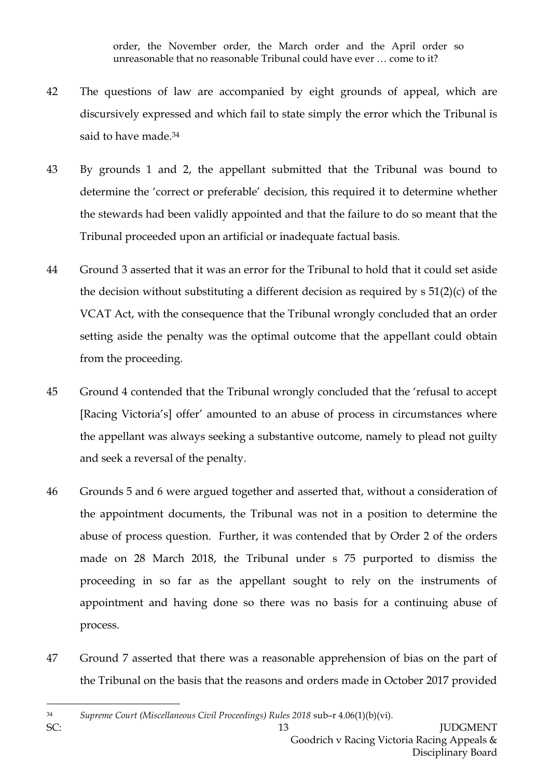order, the November order, the March order and the April order so unreasonable that no reasonable Tribunal could have ever … come to it?

- 42 The questions of law are accompanied by eight grounds of appeal, which are discursively expressed and which fail to state simply the error which the Tribunal is said to have made.<sup>34</sup>
- 43 By grounds 1 and 2, the appellant submitted that the Tribunal was bound to determine the 'correct or preferable' decision, this required it to determine whether the stewards had been validly appointed and that the failure to do so meant that the Tribunal proceeded upon an artificial or inadequate factual basis.
- 44 Ground 3 asserted that it was an error for the Tribunal to hold that it could set aside the decision without substituting a different decision as required by s 51(2)(c) of the VCAT Act, with the consequence that the Tribunal wrongly concluded that an order setting aside the penalty was the optimal outcome that the appellant could obtain from the proceeding.
- 45 Ground 4 contended that the Tribunal wrongly concluded that the 'refusal to accept [Racing Victoria's] offer' amounted to an abuse of process in circumstances where the appellant was always seeking a substantive outcome, namely to plead not guilty and seek a reversal of the penalty.
- 46 Grounds 5 and 6 were argued together and asserted that, without a consideration of the appointment documents, the Tribunal was not in a position to determine the abuse of process question. Further, it was contended that by Order 2 of the orders made on 28 March 2018, the Tribunal under s 75 purported to dismiss the proceeding in so far as the appellant sought to rely on the instruments of appointment and having done so there was no basis for a continuing abuse of process.
- 47 Ground 7 asserted that there was a reasonable apprehension of bias on the part of the Tribunal on the basis that the reasons and orders made in October 2017 provided

<sup>34</sup> *Supreme Court (Miscellaneous Civil Proceedings) Rules 2018* sub–r 4.06(1)(b)(vi).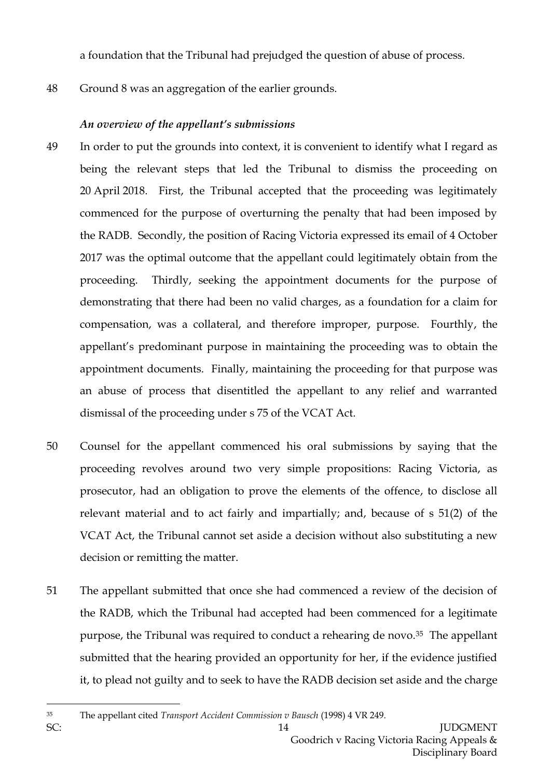a foundation that the Tribunal had prejudged the question of abuse of process.

48 Ground 8 was an aggregation of the earlier grounds.

# *An overview of the appellant's submissions*

- 49 In order to put the grounds into context, it is convenient to identify what I regard as being the relevant steps that led the Tribunal to dismiss the proceeding on 20 April 2018. First, the Tribunal accepted that the proceeding was legitimately commenced for the purpose of overturning the penalty that had been imposed by the RADB. Secondly, the position of Racing Victoria expressed its email of 4 October 2017 was the optimal outcome that the appellant could legitimately obtain from the proceeding. Thirdly, seeking the appointment documents for the purpose of demonstrating that there had been no valid charges, as a foundation for a claim for compensation, was a collateral, and therefore improper, purpose. Fourthly, the appellant's predominant purpose in maintaining the proceeding was to obtain the appointment documents. Finally, maintaining the proceeding for that purpose was an abuse of process that disentitled the appellant to any relief and warranted dismissal of the proceeding under s 75 of the VCAT Act.
- 50 Counsel for the appellant commenced his oral submissions by saying that the proceeding revolves around two very simple propositions: Racing Victoria, as prosecutor, had an obligation to prove the elements of the offence, to disclose all relevant material and to act fairly and impartially; and, because of s 51(2) of the VCAT Act, the Tribunal cannot set aside a decision without also substituting a new decision or remitting the matter.
- 51 The appellant submitted that once she had commenced a review of the decision of the RADB, which the Tribunal had accepted had been commenced for a legitimate purpose, the Tribunal was required to conduct a rehearing de novo.<sup>35</sup> The appellant submitted that the hearing provided an opportunity for her, if the evidence justified it, to plead not guilty and to seek to have the RADB decision set aside and the charge
- <sup>35</sup> The appellant cited *Transport Accident Commission v Bausch* (1998) 4 VR 249.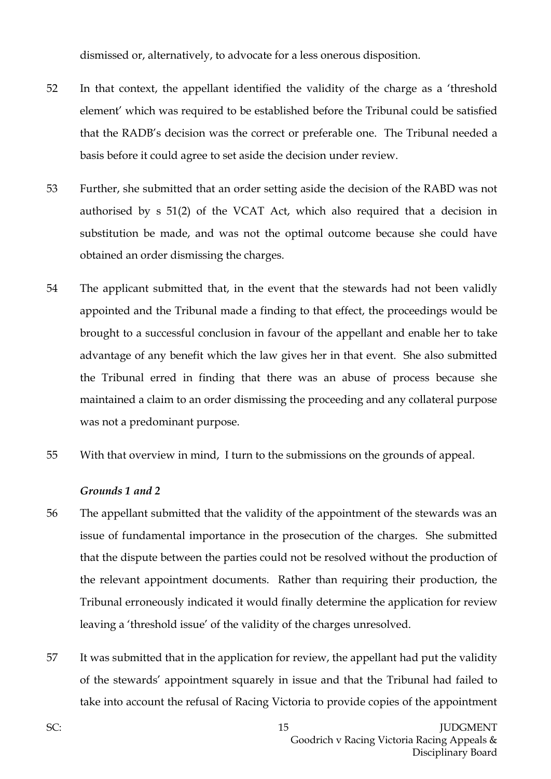dismissed or, alternatively, to advocate for a less onerous disposition.

- 52 In that context, the appellant identified the validity of the charge as a 'threshold element' which was required to be established before the Tribunal could be satisfied that the RADB's decision was the correct or preferable one. The Tribunal needed a basis before it could agree to set aside the decision under review.
- 53 Further, she submitted that an order setting aside the decision of the RABD was not authorised by s 51(2) of the VCAT Act, which also required that a decision in substitution be made, and was not the optimal outcome because she could have obtained an order dismissing the charges.
- 54 The applicant submitted that, in the event that the stewards had not been validly appointed and the Tribunal made a finding to that effect, the proceedings would be brought to a successful conclusion in favour of the appellant and enable her to take advantage of any benefit which the law gives her in that event. She also submitted the Tribunal erred in finding that there was an abuse of process because she maintained a claim to an order dismissing the proceeding and any collateral purpose was not a predominant purpose.
- 55 With that overview in mind, I turn to the submissions on the grounds of appeal.

#### *Grounds 1 and 2*

- 56 The appellant submitted that the validity of the appointment of the stewards was an issue of fundamental importance in the prosecution of the charges. She submitted that the dispute between the parties could not be resolved without the production of the relevant appointment documents. Rather than requiring their production, the Tribunal erroneously indicated it would finally determine the application for review leaving a 'threshold issue' of the validity of the charges unresolved.
- 57 It was submitted that in the application for review, the appellant had put the validity of the stewards' appointment squarely in issue and that the Tribunal had failed to take into account the refusal of Racing Victoria to provide copies of the appointment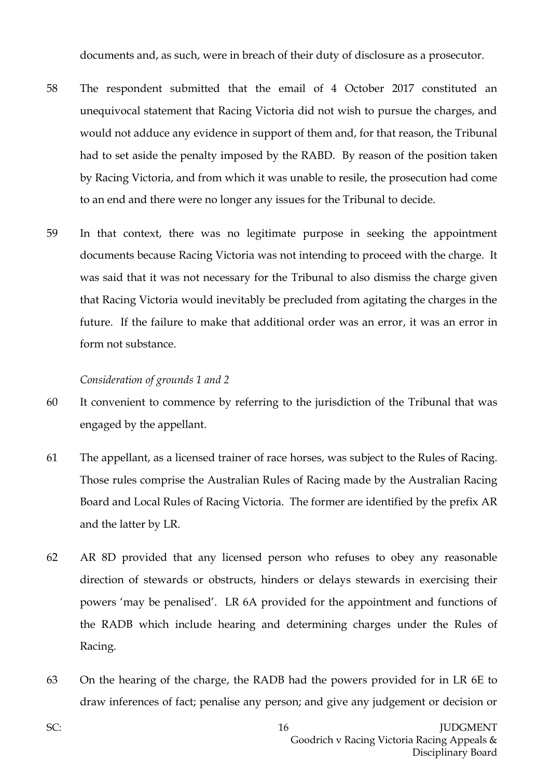documents and, as such, were in breach of their duty of disclosure as a prosecutor.

- 58 The respondent submitted that the email of 4 October 2017 constituted an unequivocal statement that Racing Victoria did not wish to pursue the charges, and would not adduce any evidence in support of them and, for that reason, the Tribunal had to set aside the penalty imposed by the RABD. By reason of the position taken by Racing Victoria, and from which it was unable to resile, the prosecution had come to an end and there were no longer any issues for the Tribunal to decide.
- 59 In that context, there was no legitimate purpose in seeking the appointment documents because Racing Victoria was not intending to proceed with the charge. It was said that it was not necessary for the Tribunal to also dismiss the charge given that Racing Victoria would inevitably be precluded from agitating the charges in the future. If the failure to make that additional order was an error, it was an error in form not substance.

#### *Consideration of grounds 1 and 2*

- 60 It convenient to commence by referring to the jurisdiction of the Tribunal that was engaged by the appellant.
- 61 The appellant, as a licensed trainer of race horses, was subject to the Rules of Racing. Those rules comprise the Australian Rules of Racing made by the Australian Racing Board and Local Rules of Racing Victoria. The former are identified by the prefix AR and the latter by LR.
- 62 AR 8D provided that any licensed person who refuses to obey any reasonable direction of stewards or obstructs, hinders or delays stewards in exercising their powers 'may be penalised'. LR 6A provided for the appointment and functions of the RADB which include hearing and determining charges under the Rules of Racing.
- 63 On the hearing of the charge, the RADB had the powers provided for in LR 6E to draw inferences of fact; penalise any person; and give any judgement or decision or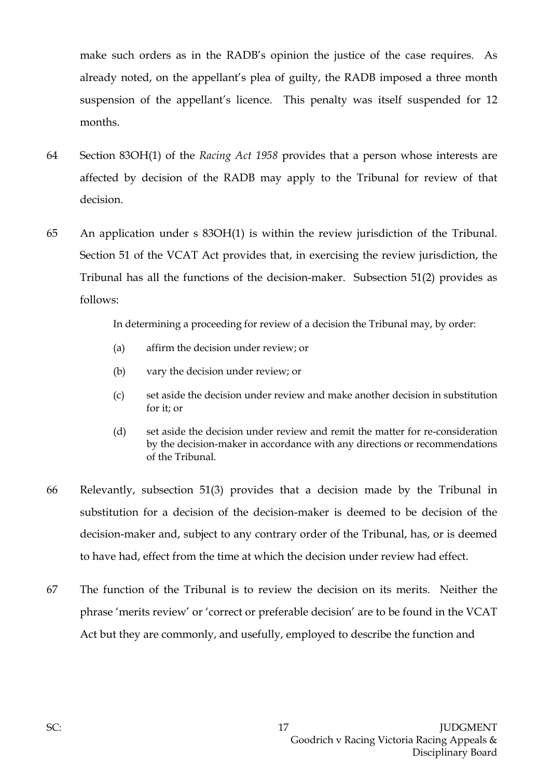make such orders as in the RADB's opinion the justice of the case requires. As already noted, on the appellant's plea of guilty, the RADB imposed a three month suspension of the appellant's licence. This penalty was itself suspended for 12 months.

- 64 Section 83OH(1) of the *Racing Act 1958* provides that a person whose interests are affected by decision of the RADB may apply to the Tribunal for review of that decision.
- 65 An application under s 83OH(1) is within the review jurisdiction of the Tribunal. Section 51 of the VCAT Act provides that, in exercising the review jurisdiction, the Tribunal has all the functions of the decision-maker. Subsection 51(2) provides as follows:

In determining a proceeding for review of a decision the Tribunal may, by order:

- (a) affirm the decision under review; or
- (b) vary the decision under review; or
- (c) set aside the decision under review and make another decision in substitution for it; or
- (d) set aside the decision under review and remit the matter for re-consideration by the decision-maker in accordance with any directions or recommendations of the Tribunal.
- 66 Relevantly, subsection 51(3) provides that a decision made by the Tribunal in substitution for a decision of the decision-maker is deemed to be decision of the decision-maker and, subject to any contrary order of the Tribunal, has, or is deemed to have had, effect from the time at which the decision under review had effect.
- 67 The function of the Tribunal is to review the decision on its merits. Neither the phrase 'merits review' or 'correct or preferable decision' are to be found in the VCAT Act but they are commonly, and usefully, employed to describe the function and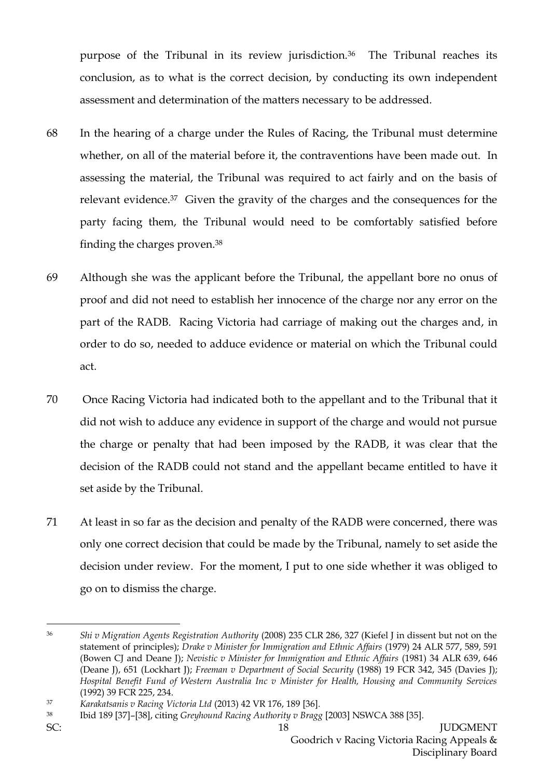purpose of the Tribunal in its review jurisdiction.36 The Tribunal reaches its conclusion, as to what is the correct decision, by conducting its own independent assessment and determination of the matters necessary to be addressed.

- 68 In the hearing of a charge under the Rules of Racing, the Tribunal must determine whether, on all of the material before it, the contraventions have been made out. In assessing the material, the Tribunal was required to act fairly and on the basis of relevant evidence.37 Given the gravity of the charges and the consequences for the party facing them, the Tribunal would need to be comfortably satisfied before finding the charges proven.<sup>38</sup>
- 69 Although she was the applicant before the Tribunal, the appellant bore no onus of proof and did not need to establish her innocence of the charge nor any error on the part of the RADB. Racing Victoria had carriage of making out the charges and, in order to do so, needed to adduce evidence or material on which the Tribunal could act.
- 70 Once Racing Victoria had indicated both to the appellant and to the Tribunal that it did not wish to adduce any evidence in support of the charge and would not pursue the charge or penalty that had been imposed by the RADB, it was clear that the decision of the RADB could not stand and the appellant became entitled to have it set aside by the Tribunal.
- 71 At least in so far as the decision and penalty of the RADB were concerned, there was only one correct decision that could be made by the Tribunal, namely to set aside the decision under review. For the moment, I put to one side whether it was obliged to go on to dismiss the charge.

<sup>36</sup> *Shi v Migration Agents Registration Authority* (2008) 235 CLR 286, 327 (Kiefel J in dissent but not on the statement of principles); *Drake v Minister for Immigration and Ethnic Affairs* (1979) 24 ALR 577, 589, 591 (Bowen CJ and Deane J); *Nevistic v Minister for Immigration and Ethnic Affairs* (1981) 34 ALR 639, 646 (Deane J), 651 (Lockhart J); *Freeman v Department of Social Security* (1988) 19 FCR 342, 345 (Davies J); *Hospital Benefit Fund of Western Australia Inc v Minister for Health, Housing and Community Services* (1992) 39 FCR 225, 234.

<sup>37</sup> *Karakatsanis v Racing Victoria Ltd* (2013) 42 VR 176, 189 [36].

<sup>38</sup> Ibid 189 [37]–[38], citing *Greyhound Racing Authority v Bragg* [2003] NSWCA 388 [35].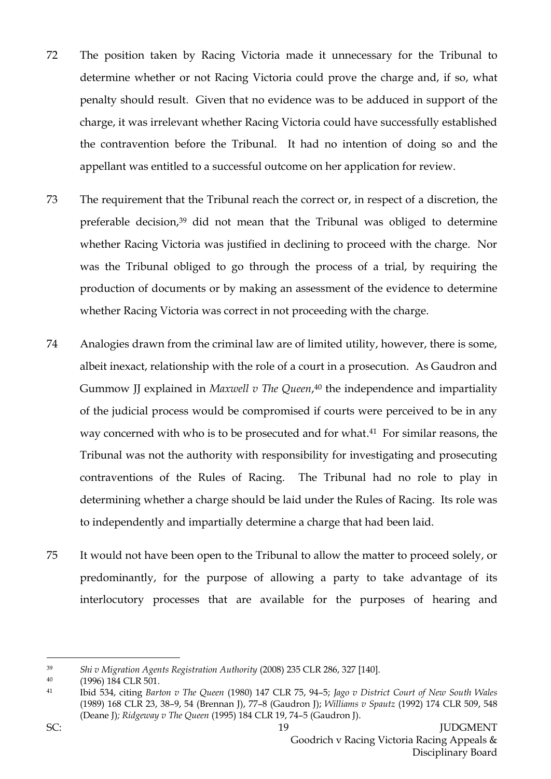- 72 The position taken by Racing Victoria made it unnecessary for the Tribunal to determine whether or not Racing Victoria could prove the charge and, if so, what penalty should result. Given that no evidence was to be adduced in support of the charge, it was irrelevant whether Racing Victoria could have successfully established the contravention before the Tribunal. It had no intention of doing so and the appellant was entitled to a successful outcome on her application for review.
- 73 The requirement that the Tribunal reach the correct or, in respect of a discretion, the preferable decision,<sup>39</sup> did not mean that the Tribunal was obliged to determine whether Racing Victoria was justified in declining to proceed with the charge. Nor was the Tribunal obliged to go through the process of a trial, by requiring the production of documents or by making an assessment of the evidence to determine whether Racing Victoria was correct in not proceeding with the charge.
- 74 Analogies drawn from the criminal law are of limited utility, however, there is some, albeit inexact, relationship with the role of a court in a prosecution. As Gaudron and Gummow JJ explained in *Maxwell v The Queen*, <sup>40</sup> the independence and impartiality of the judicial process would be compromised if courts were perceived to be in any way concerned with who is to be prosecuted and for what. <sup>41</sup> For similar reasons, the Tribunal was not the authority with responsibility for investigating and prosecuting contraventions of the Rules of Racing. The Tribunal had no role to play in determining whether a charge should be laid under the Rules of Racing. Its role was to independently and impartially determine a charge that had been laid.
- 75 It would not have been open to the Tribunal to allow the matter to proceed solely, or predominantly, for the purpose of allowing a party to take advantage of its interlocutory processes that are available for the purposes of hearing and

<sup>39</sup> *Shi v Migration Agents Registration Authority* (2008) 235 CLR 286, 327 [140].

<sup>40</sup> (1996) 184 CLR 501.

<sup>41</sup> Ibid 534, citing *Barton v The Queen* (1980) 147 CLR 75, 94–5; *Jago v District Court of New South Wales* (1989) 168 CLR 23, 38–9, 54 (Brennan J), 77–8 (Gaudron J); *Williams v Spautz* (1992) 174 CLR 509, 548 (Deane J)*; Ridgeway v The Queen* (1995) 184 CLR 19, 74–5 (Gaudron J).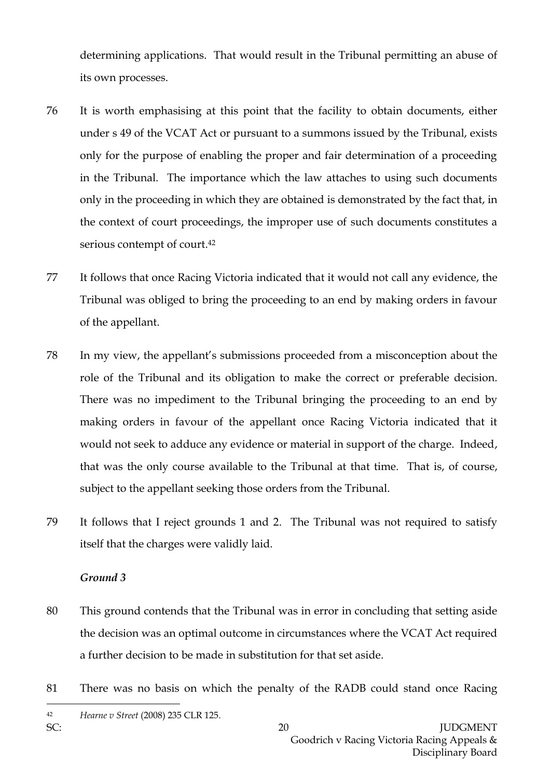determining applications. That would result in the Tribunal permitting an abuse of its own processes.

- 76 It is worth emphasising at this point that the facility to obtain documents, either under s 49 of the VCAT Act or pursuant to a summons issued by the Tribunal, exists only for the purpose of enabling the proper and fair determination of a proceeding in the Tribunal. The importance which the law attaches to using such documents only in the proceeding in which they are obtained is demonstrated by the fact that, in the context of court proceedings, the improper use of such documents constitutes a serious contempt of court.<sup>42</sup>
- 77 It follows that once Racing Victoria indicated that it would not call any evidence, the Tribunal was obliged to bring the proceeding to an end by making orders in favour of the appellant.
- 78 In my view, the appellant's submissions proceeded from a misconception about the role of the Tribunal and its obligation to make the correct or preferable decision. There was no impediment to the Tribunal bringing the proceeding to an end by making orders in favour of the appellant once Racing Victoria indicated that it would not seek to adduce any evidence or material in support of the charge. Indeed, that was the only course available to the Tribunal at that time. That is, of course, subject to the appellant seeking those orders from the Tribunal.
- 79 It follows that I reject grounds 1 and 2. The Tribunal was not required to satisfy itself that the charges were validly laid.

### *Ground 3*

- 80 This ground contends that the Tribunal was in error in concluding that setting aside the decision was an optimal outcome in circumstances where the VCAT Act required a further decision to be made in substitution for that set aside.
- 81 There was no basis on which the penalty of the RADB could stand once Racing

<sup>42</sup> *Hearne v Street* (2008) 235 CLR 125.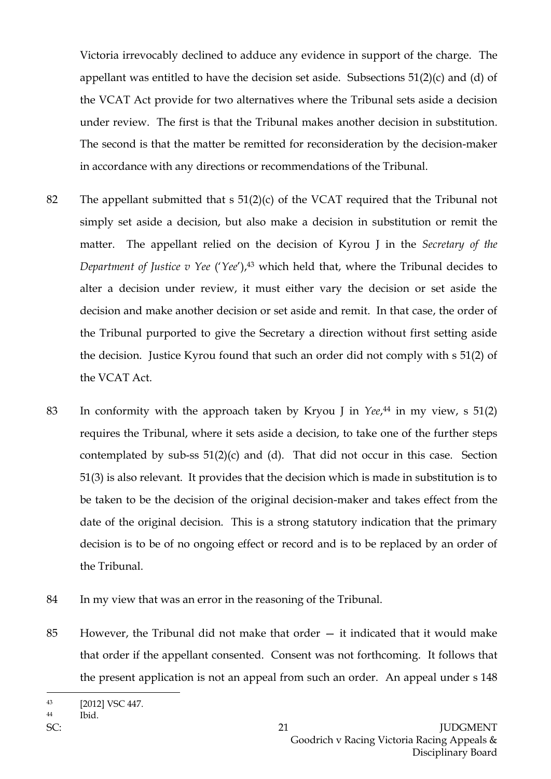Victoria irrevocably declined to adduce any evidence in support of the charge. The appellant was entitled to have the decision set aside. Subsections 51(2)(c) and (d) of the VCAT Act provide for two alternatives where the Tribunal sets aside a decision under review. The first is that the Tribunal makes another decision in substitution. The second is that the matter be remitted for reconsideration by the decision-maker in accordance with any directions or recommendations of the Tribunal.

- 82 The appellant submitted that s 51(2)(c) of the VCAT required that the Tribunal not simply set aside a decision, but also make a decision in substitution or remit the matter. The appellant relied on the decision of Kyrou J in the *Secretary of the Department of Justice v Yee* ('*Yee'*),<sup>43</sup> which held that, where the Tribunal decides to alter a decision under review, it must either vary the decision or set aside the decision and make another decision or set aside and remit. In that case, the order of the Tribunal purported to give the Secretary a direction without first setting aside the decision. Justice Kyrou found that such an order did not comply with s 51(2) of the VCAT Act.
- 83 In conformity with the approach taken by Kryou J in *Yee*, <sup>44</sup> in my view, s 51(2) requires the Tribunal, where it sets aside a decision, to take one of the further steps contemplated by sub-ss  $51(2)(c)$  and (d). That did not occur in this case. Section 51(3) is also relevant. It provides that the decision which is made in substitution is to be taken to be the decision of the original decision-maker and takes effect from the date of the original decision. This is a strong statutory indication that the primary decision is to be of no ongoing effect or record and is to be replaced by an order of the Tribunal.
- 84 In my view that was an error in the reasoning of the Tribunal.
- 85 However, the Tribunal did not make that order it indicated that it would make that order if the appellant consented. Consent was not forthcoming. It follows that the present application is not an appeal from such an order. An appeal under s 148

<sup>44</sup> Ibid.

<sup>43</sup> [2012] VSC 447.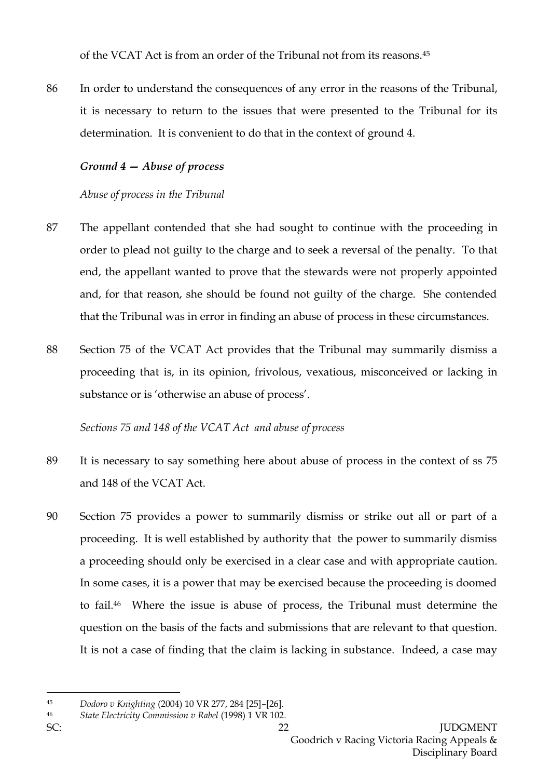of the VCAT Act is from an order of the Tribunal not from its reasons.<sup>45</sup>

86 In order to understand the consequences of any error in the reasons of the Tribunal, it is necessary to return to the issues that were presented to the Tribunal for its determination. It is convenient to do that in the context of ground 4.

### *Ground 4 — Abuse of process*

## *Abuse of process in the Tribunal*

- 87 The appellant contended that she had sought to continue with the proceeding in order to plead not guilty to the charge and to seek a reversal of the penalty. To that end, the appellant wanted to prove that the stewards were not properly appointed and, for that reason, she should be found not guilty of the charge. She contended that the Tribunal was in error in finding an abuse of process in these circumstances.
- 88 Section 75 of the VCAT Act provides that the Tribunal may summarily dismiss a proceeding that is, in its opinion, frivolous, vexatious, misconceived or lacking in substance or is 'otherwise an abuse of process'.

*Sections 75 and 148 of the VCAT Act and abuse of process*

- 89 It is necessary to say something here about abuse of process in the context of ss 75 and 148 of the VCAT Act.
- 90 Section 75 provides a power to summarily dismiss or strike out all or part of a proceeding. It is well established by authority that the power to summarily dismiss a proceeding should only be exercised in a clear case and with appropriate caution. In some cases, it is a power that may be exercised because the proceeding is doomed to fail.46 Where the issue is abuse of process, the Tribunal must determine the question on the basis of the facts and submissions that are relevant to that question. It is not a case of finding that the claim is lacking in substance. Indeed, a case may

<sup>45</sup> *Dodoro v Knighting* (2004) 10 VR 277, 284 [25]–[26].

<sup>46</sup> *State Electricity Commission v Rabel* (1998) 1 VR 102.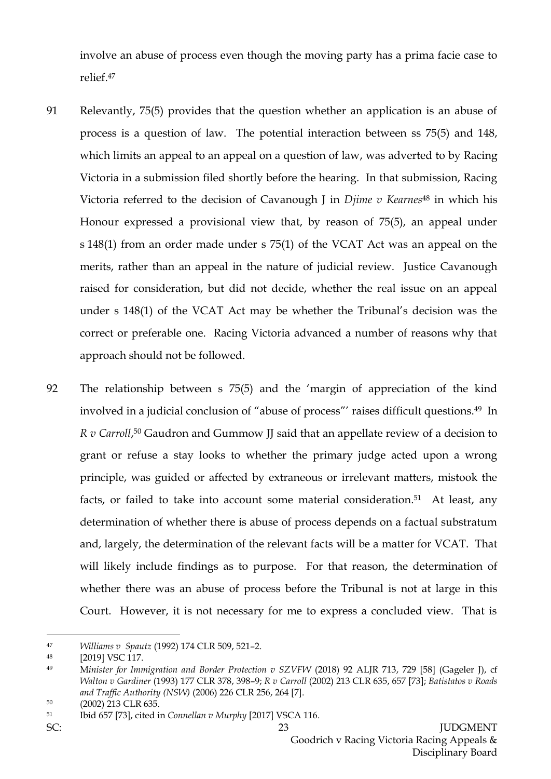involve an abuse of process even though the moving party has a prima facie case to relief.<sup>47</sup>

- 91 Relevantly, 75(5) provides that the question whether an application is an abuse of process is a question of law. The potential interaction between ss 75(5) and 148, which limits an appeal to an appeal on a question of law, was adverted to by Racing Victoria in a submission filed shortly before the hearing. In that submission, Racing Victoria referred to the decision of Cavanough J in *Djime v Kearnes*<sup>48</sup> in which his Honour expressed a provisional view that, by reason of 75(5), an appeal under s 148(1) from an order made under s 75(1) of the VCAT Act was an appeal on the merits, rather than an appeal in the nature of judicial review. Justice Cavanough raised for consideration, but did not decide, whether the real issue on an appeal under s 148(1) of the VCAT Act may be whether the Tribunal's decision was the correct or preferable one. Racing Victoria advanced a number of reasons why that approach should not be followed.
- 92 The relationship between s 75(5) and the 'margin of appreciation of the kind involved in a judicial conclusion of "abuse of process"' raises difficult questions. <sup>49</sup> In *R v Carroll*, <sup>50</sup> Gaudron and Gummow JJ said that an appellate review of a decision to grant or refuse a stay looks to whether the primary judge acted upon a wrong principle, was guided or affected by extraneous or irrelevant matters, mistook the facts, or failed to take into account some material consideration.<sup>51</sup> At least, any determination of whether there is abuse of process depends on a factual substratum and, largely, the determination of the relevant facts will be a matter for VCAT. That will likely include findings as to purpose. For that reason, the determination of whether there was an abuse of process before the Tribunal is not at large in this Court. However, it is not necessary for me to express a concluded view. That is

 $\overline{a}$ <sup>47</sup> *Williams v Spautz* (1992) 174 CLR 509, 521–2.

<sup>48</sup> [2019] VSC 117.

<sup>49</sup> M*inister for Immigration and Border Protection v SZVFW* (2018) 92 ALJR 713, 729 [58] (Gageler J), cf *Walton v Gardiner* (1993) 177 CLR 378, 398–9; *R v Carroll* (2002) 213 CLR 635, 657 [73]; *Batistatos v Roads and Traffic Authority (NSW)* (2006) 226 CLR 256, 264 [7].

<sup>50</sup> (2002) 213 CLR 635.

<sup>51</sup> Ibid 657 [73], cited in *Connellan v Murphy* [2017] VSCA 116.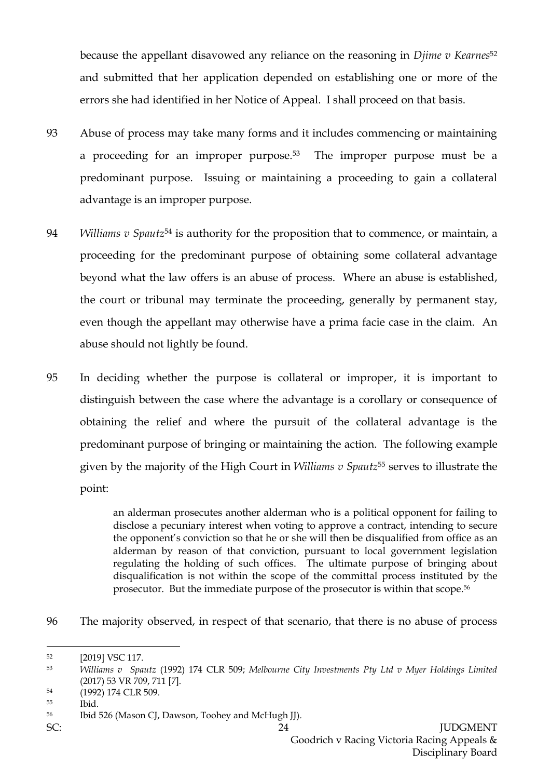because the appellant disavowed any reliance on the reasoning in *Djime v Kearnes*<sup>52</sup> and submitted that her application depended on establishing one or more of the errors she had identified in her Notice of Appeal. I shall proceed on that basis.

- 93 Abuse of process may take many forms and it includes commencing or maintaining a proceeding for an improper purpose.53 The improper purpose must be a predominant purpose. Issuing or maintaining a proceeding to gain a collateral advantage is an improper purpose.
- 94 *Williams v Spautz*<sup>54</sup> is authority for the proposition that to commence, or maintain, a proceeding for the predominant purpose of obtaining some collateral advantage beyond what the law offers is an abuse of process. Where an abuse is established, the court or tribunal may terminate the proceeding, generally by permanent stay, even though the appellant may otherwise have a prima facie case in the claim. An abuse should not lightly be found.
- 95 In deciding whether the purpose is collateral or improper, it is important to distinguish between the case where the advantage is a corollary or consequence of obtaining the relief and where the pursuit of the collateral advantage is the predominant purpose of bringing or maintaining the action. The following example given by the majority of the High Court in *Williams v Spautz*<sup>55</sup> serves to illustrate the point:

an alderman prosecutes another alderman who is a political opponent for failing to disclose a pecuniary interest when voting to approve a contract, intending to secure the opponent's conviction so that he or she will then be disqualified from office as an alderman by reason of that conviction, pursuant to local government legislation regulating the holding of such offices. The ultimate purpose of bringing about disqualification is not within the scope of the committal process instituted by the prosecutor. But the immediate purpose of the prosecutor is within that scope.<sup>56</sup>

96 The majority observed, in respect of that scenario, that there is no abuse of process

<sup>52</sup> [2019] VSC 117.

<sup>53</sup> *Williams v Spautz* (1992) 174 CLR 509; *Melbourne City Investments Pty Ltd v Myer Holdings Limited* (2017) 53 VR 709, 711 [7].

<sup>54</sup> (1992) 174 CLR 509.

<sup>55</sup> Ibid.

<sup>56</sup> Ibid 526 (Mason CJ, Dawson, Toohey and McHugh JJ).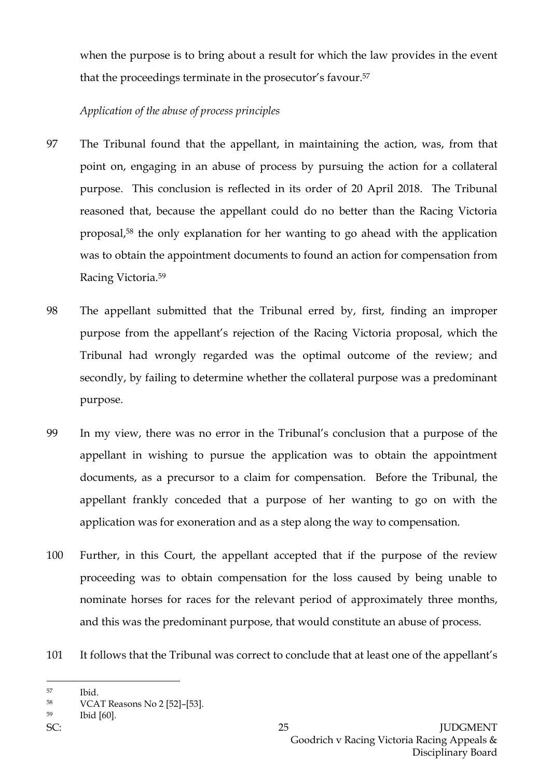when the purpose is to bring about a result for which the law provides in the event that the proceedings terminate in the prosecutor's favour.<sup>57</sup>

# *Application of the abuse of process principles*

- 97 The Tribunal found that the appellant, in maintaining the action, was, from that point on, engaging in an abuse of process by pursuing the action for a collateral purpose. This conclusion is reflected in its order of 20 April 2018. The Tribunal reasoned that, because the appellant could do no better than the Racing Victoria proposal, <sup>58</sup> the only explanation for her wanting to go ahead with the application was to obtain the appointment documents to found an action for compensation from Racing Victoria.<sup>59</sup>
- 98 The appellant submitted that the Tribunal erred by, first, finding an improper purpose from the appellant's rejection of the Racing Victoria proposal, which the Tribunal had wrongly regarded was the optimal outcome of the review; and secondly, by failing to determine whether the collateral purpose was a predominant purpose.
- 99 In my view, there was no error in the Tribunal's conclusion that a purpose of the appellant in wishing to pursue the application was to obtain the appointment documents, as a precursor to a claim for compensation. Before the Tribunal, the appellant frankly conceded that a purpose of her wanting to go on with the application was for exoneration and as a step along the way to compensation.
- 100 Further, in this Court, the appellant accepted that if the purpose of the review proceeding was to obtain compensation for the loss caused by being unable to nominate horses for races for the relevant period of approximately three months, and this was the predominant purpose, that would constitute an abuse of process.
- 101 It follows that the Tribunal was correct to conclude that at least one of the appellant's

<sup>59</sup> Ibid [60].

 $\overline{a}$ <sup>57</sup> Ibid.

<sup>58</sup> VCAT Reasons No 2 [52]–[53].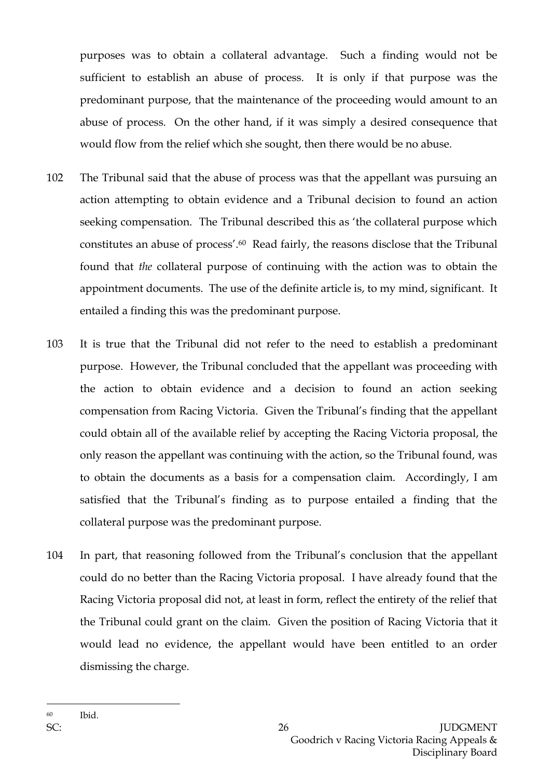purposes was to obtain a collateral advantage. Such a finding would not be sufficient to establish an abuse of process. It is only if that purpose was the predominant purpose, that the maintenance of the proceeding would amount to an abuse of process. On the other hand, if it was simply a desired consequence that would flow from the relief which she sought, then there would be no abuse.

- 102 The Tribunal said that the abuse of process was that the appellant was pursuing an action attempting to obtain evidence and a Tribunal decision to found an action seeking compensation. The Tribunal described this as 'the collateral purpose which constitutes an abuse of process'. <sup>60</sup> Read fairly, the reasons disclose that the Tribunal found that *the* collateral purpose of continuing with the action was to obtain the appointment documents. The use of the definite article is, to my mind, significant. It entailed a finding this was the predominant purpose.
- 103 It is true that the Tribunal did not refer to the need to establish a predominant purpose. However, the Tribunal concluded that the appellant was proceeding with the action to obtain evidence and a decision to found an action seeking compensation from Racing Victoria. Given the Tribunal's finding that the appellant could obtain all of the available relief by accepting the Racing Victoria proposal, the only reason the appellant was continuing with the action, so the Tribunal found, was to obtain the documents as a basis for a compensation claim. Accordingly, I am satisfied that the Tribunal's finding as to purpose entailed a finding that the collateral purpose was the predominant purpose.
- 104 In part, that reasoning followed from the Tribunal's conclusion that the appellant could do no better than the Racing Victoria proposal. I have already found that the Racing Victoria proposal did not, at least in form, reflect the entirety of the relief that the Tribunal could grant on the claim. Given the position of Racing Victoria that it would lead no evidence, the appellant would have been entitled to an order dismissing the charge.

<sup>60</sup> Ibid.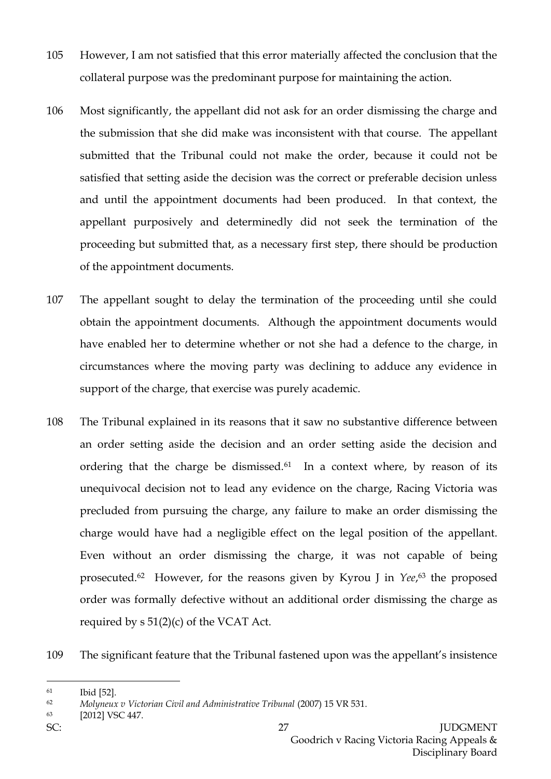- 105 However, I am not satisfied that this error materially affected the conclusion that the collateral purpose was the predominant purpose for maintaining the action.
- 106 Most significantly, the appellant did not ask for an order dismissing the charge and the submission that she did make was inconsistent with that course. The appellant submitted that the Tribunal could not make the order, because it could not be satisfied that setting aside the decision was the correct or preferable decision unless and until the appointment documents had been produced. In that context, the appellant purposively and determinedly did not seek the termination of the proceeding but submitted that, as a necessary first step, there should be production of the appointment documents.
- 107 The appellant sought to delay the termination of the proceeding until she could obtain the appointment documents. Although the appointment documents would have enabled her to determine whether or not she had a defence to the charge, in circumstances where the moving party was declining to adduce any evidence in support of the charge, that exercise was purely academic.
- 108 The Tribunal explained in its reasons that it saw no substantive difference between an order setting aside the decision and an order setting aside the decision and ordering that the charge be dismissed.<sup>61</sup> In a context where, by reason of its unequivocal decision not to lead any evidence on the charge, Racing Victoria was precluded from pursuing the charge, any failure to make an order dismissing the charge would have had a negligible effect on the legal position of the appellant. Even without an order dismissing the charge, it was not capable of being prosecuted.62 However, for the reasons given by Kyrou J in *Yee*, <sup>63</sup> the proposed order was formally defective without an additional order dismissing the charge as required by  $s \frac{51(2)}{c}$  of the VCAT Act.

109 The significant feature that the Tribunal fastened upon was the appellant's insistence

<sup>61</sup> Ibid [52].

<sup>62</sup> *Molyneux v Victorian Civil and Administrative Tribunal* (2007) 15 VR 531.

<sup>63</sup> [2012] VSC 447.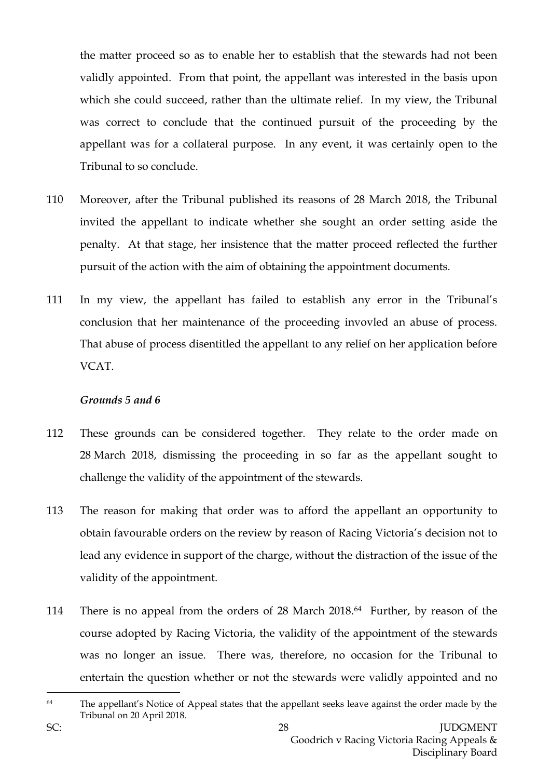the matter proceed so as to enable her to establish that the stewards had not been validly appointed. From that point, the appellant was interested in the basis upon which she could succeed, rather than the ultimate relief. In my view, the Tribunal was correct to conclude that the continued pursuit of the proceeding by the appellant was for a collateral purpose. In any event, it was certainly open to the Tribunal to so conclude.

- 110 Moreover, after the Tribunal published its reasons of 28 March 2018, the Tribunal invited the appellant to indicate whether she sought an order setting aside the penalty. At that stage, her insistence that the matter proceed reflected the further pursuit of the action with the aim of obtaining the appointment documents.
- 111 In my view, the appellant has failed to establish any error in the Tribunal's conclusion that her maintenance of the proceeding invovled an abuse of process. That abuse of process disentitled the appellant to any relief on her application before VCAT.

### *Grounds 5 and 6*

- 112 These grounds can be considered together. They relate to the order made on 28 March 2018, dismissing the proceeding in so far as the appellant sought to challenge the validity of the appointment of the stewards.
- 113 The reason for making that order was to afford the appellant an opportunity to obtain favourable orders on the review by reason of Racing Victoria's decision not to lead any evidence in support of the charge, without the distraction of the issue of the validity of the appointment.
- 114 There is no appeal from the orders of 28 March 2018.64 Further, by reason of the course adopted by Racing Victoria, the validity of the appointment of the stewards was no longer an issue. There was, therefore, no occasion for the Tribunal to entertain the question whether or not the stewards were validly appointed and no
- $64$  The appellant's Notice of Appeal states that the appellant seeks leave against the order made by the Tribunal on 20 April 2018.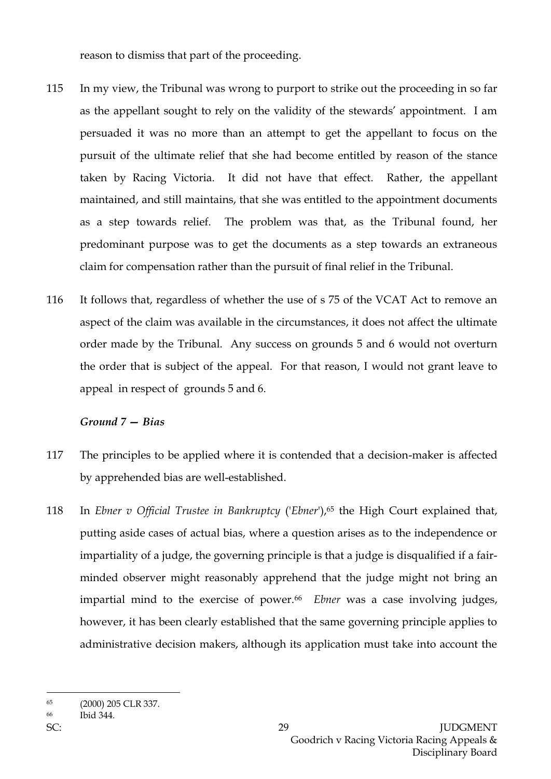reason to dismiss that part of the proceeding.

- 115 In my view, the Tribunal was wrong to purport to strike out the proceeding in so far as the appellant sought to rely on the validity of the stewards' appointment. I am persuaded it was no more than an attempt to get the appellant to focus on the pursuit of the ultimate relief that she had become entitled by reason of the stance taken by Racing Victoria. It did not have that effect. Rather, the appellant maintained, and still maintains, that she was entitled to the appointment documents as a step towards relief. The problem was that, as the Tribunal found, her predominant purpose was to get the documents as a step towards an extraneous claim for compensation rather than the pursuit of final relief in the Tribunal.
- 116 It follows that, regardless of whether the use of s 75 of the VCAT Act to remove an aspect of the claim was available in the circumstances, it does not affect the ultimate order made by the Tribunal. Any success on grounds 5 and 6 would not overturn the order that is subject of the appeal. For that reason, I would not grant leave to appeal in respect of grounds 5 and 6.

## *Ground 7 — Bias*

- 117 The principles to be applied where it is contended that a decision-maker is affected by apprehended bias are well-established.
- 118 In *Ebner v Official Trustee in Bankruptcy* ('*Ebner*'), <sup>65</sup> the High Court explained that, putting aside cases of actual bias, where a question arises as to the independence or impartiality of a judge, the governing principle is that a judge is disqualified if a fairminded observer might reasonably apprehend that the judge might not bring an impartial mind to the exercise of power.<sup>66</sup> *Ebner* was a case involving judges, however, it has been clearly established that the same governing principle applies to administrative decision makers, although its application must take into account the

<sup>65</sup> (2000) 205 CLR 337.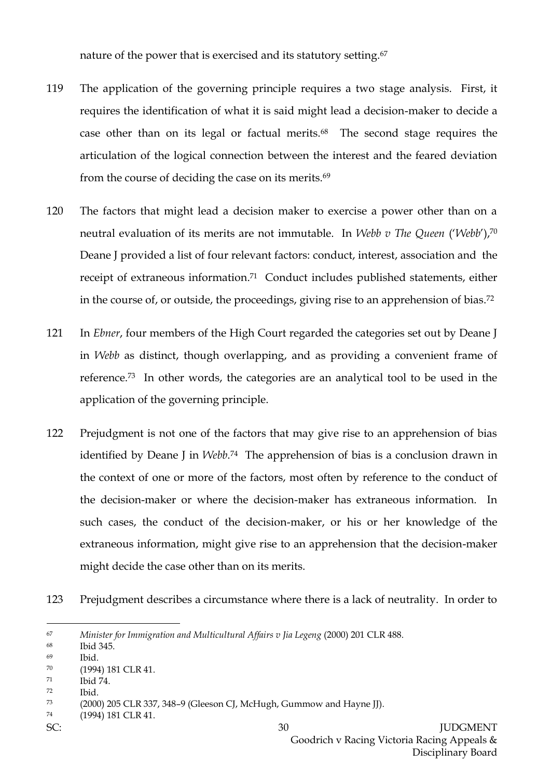nature of the power that is exercised and its statutory setting.<sup>67</sup>

- 119 The application of the governing principle requires a two stage analysis. First, it requires the identification of what it is said might lead a decision-maker to decide a case other than on its legal or factual merits.68 The second stage requires the articulation of the logical connection between the interest and the feared deviation from the course of deciding the case on its merits.<sup>69</sup>
- 120 The factors that might lead a decision maker to exercise a power other than on a neutral evaluation of its merits are not immutable. In *Webb v The Queen* ('*Webb*'), 70 Deane J provided a list of four relevant factors: conduct, interest, association and the receipt of extraneous information. <sup>71</sup> Conduct includes published statements, either in the course of, or outside, the proceedings, giving rise to an apprehension of bias. 72
- 121 In *Ebner*, four members of the High Court regarded the categories set out by Deane J in *Webb* as distinct, though overlapping, and as providing a convenient frame of reference.73 In other words, the categories are an analytical tool to be used in the application of the governing principle.
- 122 Prejudgment is not one of the factors that may give rise to an apprehension of bias identified by Deane J in *Webb*. <sup>74</sup> The apprehension of bias is a conclusion drawn in the context of one or more of the factors, most often by reference to the conduct of the decision-maker or where the decision-maker has extraneous information. In such cases, the conduct of the decision-maker, or his or her knowledge of the extraneous information, might give rise to an apprehension that the decision-maker might decide the case other than on its merits.
- 123 Prejudgment describes a circumstance where there is a lack of neutrality. In order to

<sup>72</sup> Ibid.

- <sup>74</sup> (1994) 181 CLR 41.
- 

<sup>67</sup> *Minister for Immigration and Multicultural Affairs v Jia Legeng* (2000) 201 CLR 488.

<sup>68</sup> Ibid 345.

<sup>69</sup> Ibid.

<sup>70</sup> (1994) 181 CLR 41.

<sup>71</sup> Ibid 74.

<sup>73</sup> (2000) 205 CLR 337, 348–9 (Gleeson CJ, McHugh, Gummow and Hayne JJ).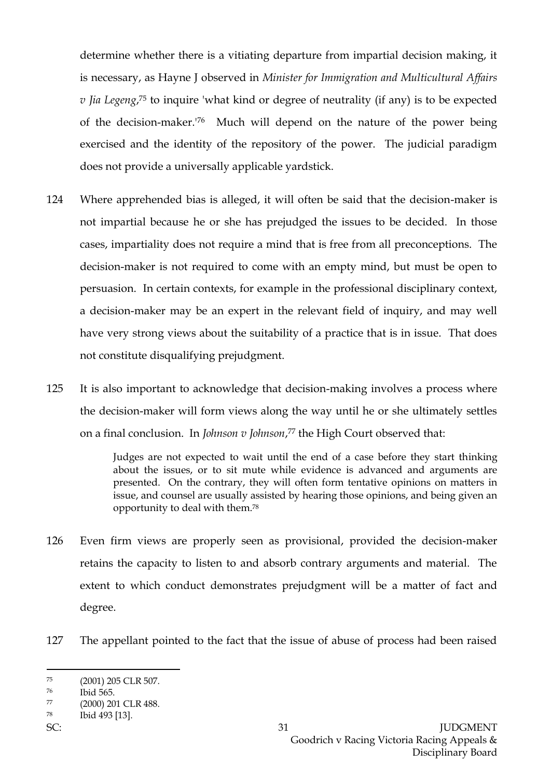determine whether there is a vitiating departure from impartial decision making, it is necessary, as Hayne J observed in *Minister for Immigration and Multicultural Affairs v Jia Legeng*, <sup>75</sup> to inquire 'what kind or degree of neutrality (if any) is to be expected of the decision-maker.'76 Much will depend on the nature of the power being exercised and the identity of the repository of the power. The judicial paradigm does not provide a universally applicable yardstick.

- 124 Where apprehended bias is alleged, it will often be said that the decision-maker is not impartial because he or she has prejudged the issues to be decided. In those cases, impartiality does not require a mind that is free from all preconceptions. The decision-maker is not required to come with an empty mind, but must be open to persuasion. In certain contexts, for example in the professional disciplinary context, a decision-maker may be an expert in the relevant field of inquiry, and may well have very strong views about the suitability of a practice that is in issue. That does not constitute disqualifying prejudgment.
- 125 It is also important to acknowledge that decision-making involves a process where the decision-maker will form views along the way until he or she ultimately settles on a final conclusion. In *Johnson v Johnson*, <sup>77</sup> the High Court observed that:

Judges are not expected to wait until the end of a case before they start thinking about the issues, or to sit mute while evidence is advanced and arguments are presented. On the contrary, they will often form tentative opinions on matters in issue, and counsel are usually assisted by hearing those opinions, and being given an opportunity to deal with them.<sup>78</sup>

- 126 Even firm views are properly seen as provisional, provided the decision-maker retains the capacity to listen to and absorb contrary arguments and material. The extent to which conduct demonstrates prejudgment will be a matter of fact and degree.
- 127 The appellant pointed to the fact that the issue of abuse of process had been raised

<sup>75</sup> (2001) 205 CLR 507.

<sup>76</sup> Ibid 565.

<sup>77</sup> (2000) 201 CLR 488.

<sup>78</sup> Ibid 493 [13].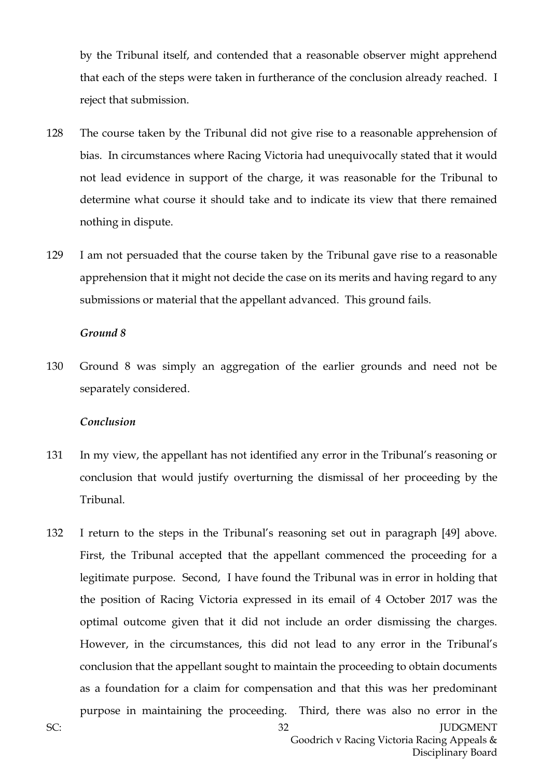by the Tribunal itself, and contended that a reasonable observer might apprehend that each of the steps were taken in furtherance of the conclusion already reached. I reject that submission.

- 128 The course taken by the Tribunal did not give rise to a reasonable apprehension of bias. In circumstances where Racing Victoria had unequivocally stated that it would not lead evidence in support of the charge, it was reasonable for the Tribunal to determine what course it should take and to indicate its view that there remained nothing in dispute.
- 129 I am not persuaded that the course taken by the Tribunal gave rise to a reasonable apprehension that it might not decide the case on its merits and having regard to any submissions or material that the appellant advanced. This ground fails.

#### *Ground 8*

130 Ground 8 was simply an aggregation of the earlier grounds and need not be separately considered.

### *Conclusion*

- 131 In my view, the appellant has not identified any error in the Tribunal's reasoning or conclusion that would justify overturning the dismissal of her proceeding by the Tribunal.
- 132 I return to the steps in the Tribunal's reasoning set out in paragraph [49] above. First, the Tribunal accepted that the appellant commenced the proceeding for a legitimate purpose. Second, I have found the Tribunal was in error in holding that the position of Racing Victoria expressed in its email of 4 October 2017 was the optimal outcome given that it did not include an order dismissing the charges. However, in the circumstances, this did not lead to any error in the Tribunal's conclusion that the appellant sought to maintain the proceeding to obtain documents as a foundation for a claim for compensation and that this was her predominant purpose in maintaining the proceeding. Third, there was also no error in the